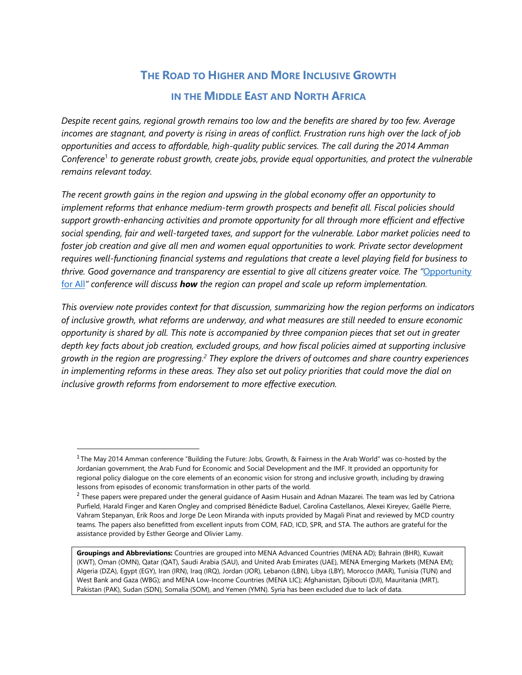# **THE ROAD TO HIGHER AND MORE INCLUSIVE GROWTH**

## **IN THE MIDDLE EAST AND NORTH AFRICA**

*Despite recent gains, regional growth remains too low and the benefits are shared by too few. Average incomes are stagnant, and poverty is rising in areas of conflict. Frustration runs high over the lack of job opportunities and access to affordable, high-quality public services. The call during the 2014 Amman Conference*<sup>1</sup> *to generate robust growth, create jobs, provide equal opportunities, and protect the vulnerable remains relevant today.* 

*The recent growth gains in the region and upswing in the global economy offer an opportunity to implement reforms that enhance medium-term growth prospects and benefit all. Fiscal policies should support growth-enhancing activities and promote opportunity for all through more efficient and effective social spending, fair and well-targeted taxes, and support for the vulnerable. Labor market policies need to foster job creation and give all men and women equal opportunities to work. Private sector development requires well-functioning financial systems and regulations that create a level playing field for business to thrive. Good governance and transparency are essential to give all citizens greater voice. The "*[Opportunity](http://0-www-imf-org.library.svsu.edu/en/News/Seminars/Conferences/2017/08/08/morocco-opportunities-for-all)  [for All](http://0-www-imf-org.library.svsu.edu/en/News/Seminars/Conferences/2017/08/08/morocco-opportunities-for-all)*" conference will discuss how the region can propel and scale up reform implementation.*

*This overview note provides context for that discussion, summarizing how the region performs on indicators of inclusive growth, what reforms are underway, and what measures are still needed to ensure economic opportunity is shared by all. This note is accompanied by three companion pieces that set out in greater depth key facts about job creation, excluded groups, and how fiscal policies aimed at supporting inclusive growth in the region are progressing. <sup>2</sup> They explore the drivers of outcomes and share country experiences in implementing reforms in these areas. They also set out policy priorities that could move the dial on inclusive growth reforms from endorsement to more effective execution.*

 $\overline{a}$ 

<sup>&</sup>lt;sup>1</sup> The May 2014 Amman conference "Building the Future: Jobs, Growth, & Fairness in the Arab World" was co-hosted by the Jordanian government, the Arab Fund for Economic and Social Development and the IMF. It provided an opportunity for regional policy dialogue on the core elements of an economic vision for strong and inclusive growth, including by drawing lessons from episodes of economic transformation in other parts of the world.

 $^2$  These papers were prepared under the general guidance of Aasim Husain and Adnan Mazarei. The team was led by Catriona Purfield, Harald Finger and Karen Ongley and comprised Bénédicte Baduel, Carolina Castellanos, Alexei Kireyev, Gaëlle Pierre, Vahram Stepanyan, Erik Roos and Jorge De Leon Miranda with inputs provided by Magali Pinat and reviewed by MCD country teams. The papers also benefitted from excellent inputs from COM, FAD, ICD, SPR, and STA. The authors are grateful for the assistance provided by Esther George and Olivier Lamy.

**Groupings and Abbreviations:** Countries are grouped into MENA Advanced Countries (MENA AD); Bahrain (BHR), Kuwait (KWT), Oman (OMN), Qatar (QAT), Saudi Arabia (SAU), and United Arab Emirates (UAE), MENA Emerging Markets (MENA EM); Algeria (DZA), Egypt (EGY), Iran (IRN), Iraq (IRQ), Jordan (JOR), Lebanon (LBN), Libya (LBY), Morocco (MAR), Tunisia (TUN) and West Bank and Gaza (WBG); and MENA Low-Income Countries (MENA LIC); Afghanistan, Djibouti (DJI), Mauritania (MRT), Pakistan (PAK), Sudan (SDN), Somalia (SOM), and Yemen (YMN). Syria has been excluded due to lack of data.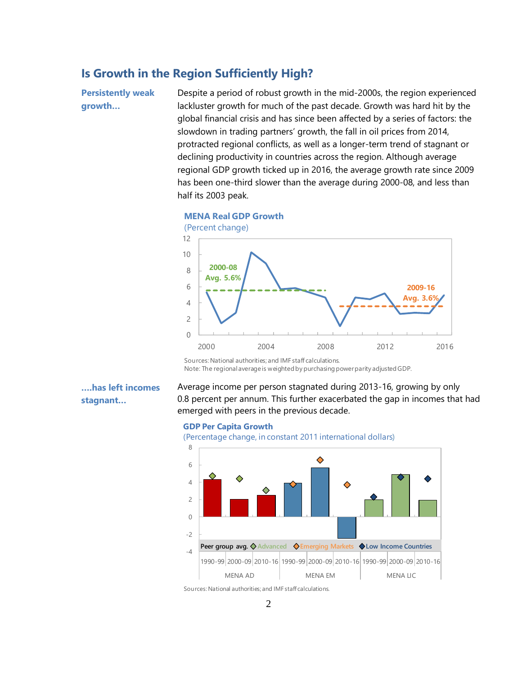# **Is Growth in the Region Sufficiently High?**

**Persistently weak growth…**

Despite a period of robust growth in the mid-2000s, the region experienced lackluster growth for much of the past decade. Growth was hard hit by the global financial crisis and has since been affected by a series of factors: the slowdown in trading partners' growth, the fall in oil prices from 2014, protracted regional conflicts, as well as a longer-term trend of stagnant or declining productivity in countries across the region. Although average regional GDP growth ticked up in 2016, the average growth rate since 2009 has been one-third slower than the average during 2000-08, and less than half its 2003 peak.



**MENA Real GDP Growth**

Sources: National authorities; and IMF staff calculations. Note: The regional average is weighted by purchasing power parity adjusted GDP.

**….has left incomes stagnant…**

Average income per person stagnated during 2013-16, growing by only 0.8 percent per annum. This further exacerbated the gap in incomes that had emerged with peers in the previous decade.

#### **GDP Per Capita Growth**

(Percentage change, in constant 2011 international dollars)

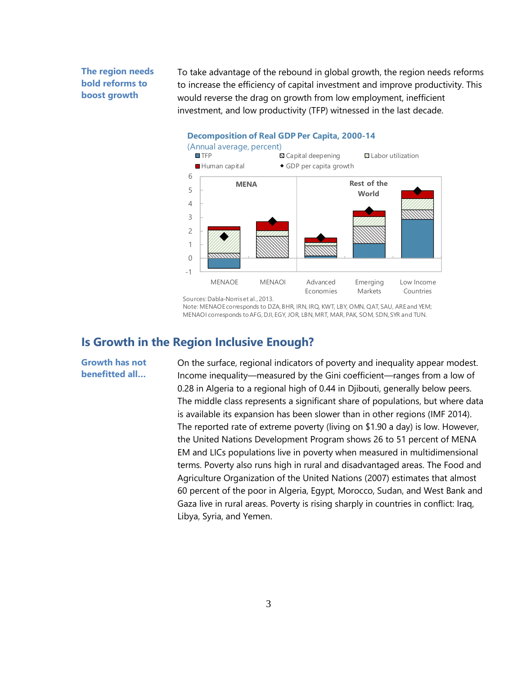### **The region needs bold reforms to boost growth**

To take advantage of the rebound in global growth, the region needs reforms to increase the efficiency of capital investment and improve productivity. This would reverse the drag on growth from low employment, inefficient investment, and low productivity (TFP) witnessed in the last decade.



Sources: Dabla-Norriset al., 2013.

Note: MENAOE corresponds to DZA, BHR, IRN, IRQ, KWT, LBY, OMN, QAT, SAU, ARE and YEM; MENAOI corresponds to AFG, DJI, EGY, JOR, LBN, MRT, MAR, PAK, SOM, SDN, SYR and TUN.

### **Is Growth in the Region Inclusive Enough?**

**Growth has not benefitted all…**

On the surface, regional indicators of poverty and inequality appear modest. Income inequality—measured by the Gini coefficient—ranges from a low of 0.28 in Algeria to a regional high of 0.44 in Djibouti, generally below peers. The middle class represents a significant share of populations, but where data is available its expansion has been slower than in other regions (IMF 2014). The reported rate of extreme poverty (living on \$1.90 a day) is low. However, the United Nations Development Program shows 26 to 51 percent of MENA EM and LICs populations live in poverty when measured in multidimensional terms. Poverty also runs high in rural and disadvantaged areas. The Food and Agriculture Organization of the United Nations (2007) estimates that almost 60 percent of the poor in Algeria, Egypt, Morocco, Sudan, and West Bank and Gaza live in rural areas. Poverty is rising sharply in countries in conflict: Iraq, Libya, Syria, and Yemen.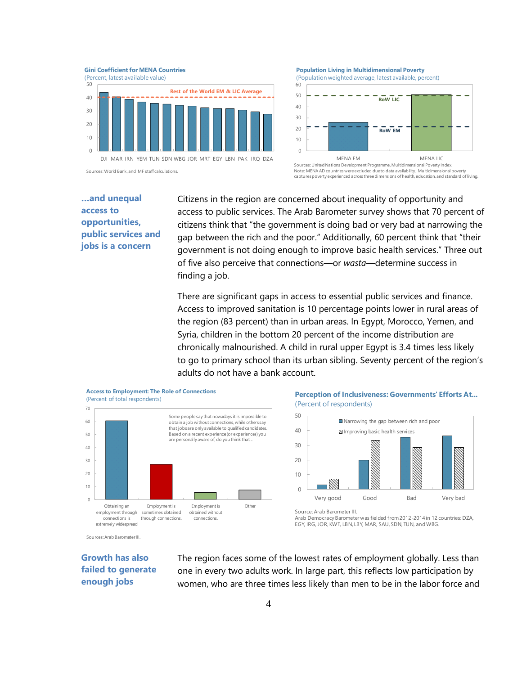**Gini Coefficient for MENA Countries**





Sources: World Bank, and IMF staff calculations.

**…and unequal access to opportunities, public services and jobs is a concern**

Citizens in the region are concerned about inequality of opportunity and access to public services. The Arab Barometer survey shows that 70 percent of citizens think that "the government is doing bad or very bad at narrowing the gap between the rich and the poor." Additionally, 60 percent think that "their government is not doing enough to improve basic health services." Three out of five also perceive that connections—or *wasta*—determine success in finding a job.

There are significant gaps in access to essential public services and finance. Access to improved sanitation is 10 percentage points lower in rural areas of the region (83 percent) than in urban areas. In Egypt, Morocco, Yemen, and Syria, children in the bottom 20 percent of the income distribution are chronically malnourished. A child in rural upper Egypt is 3.4 times less likely to go to primary school than its urban sibling. Seventy percent of the region's adults do not have a bank account.



**Perception of Inclusiveness: Governments' Efforts At...** (Percent of respondents)



Arab Democracy Barometer was fielded from 2012-2014 in 12 countries: DZA, EGY, IRG, JOR, KWT, LBN, LBY, MAR, SAU, SDN, TUN, and WBG.

Sources: Arab Barometer III.

### **Growth has also failed to generate enough jobs**

The region faces some of the lowest rates of employment globally. Less than one in every two adults work. In large part, this reflects low participation by women, who are three times less likely than men to be in the labor force and

**Population Living in Multidimensional Poverty** 



Sources:United Nations Development Programme, Multidimensional Poverty Index. Note: MENA AD countries were excluded due to data availability. Multidimensional poverty captures poverty experienced across three dimensions of health, education, and standard of living.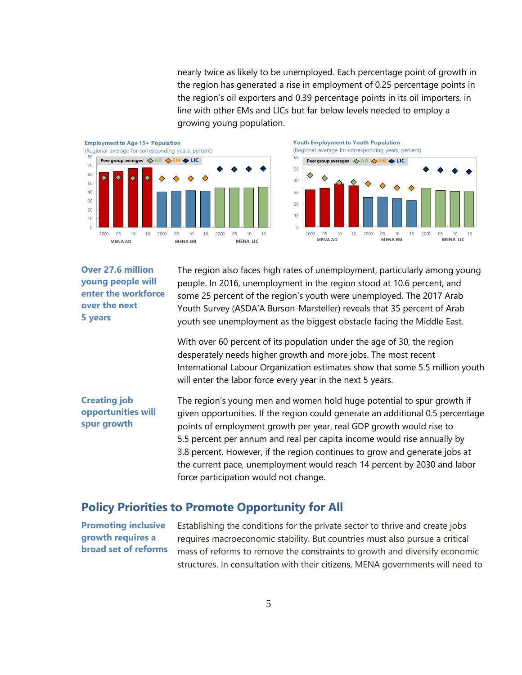nearly twice as likely to be unemployed. Each percentage point of growth in the region has generated a rise in employment of 0.25 percentage points in the region's oil exporters and 0.39 percentage points in its oil importers, in line with other EMs and LICs but far below levels needed to employ a growing young population.



**Over 27.6 million young people will enter the workforce over the next 5 years**

The region also faces high rates of unemployment, particularly among young people. In 2016, unemployment in the region stood at 10.6 percent, and some 25 percent of the region's youth were unemployed. The 2017 Arab Youth Survey (ASDA'A Burson-Marsteller) reveals that 35 percent of Arab youth see unemployment as the biggest obstacle facing the Middle East.

With over 60 percent of its population under the age of 30, the region desperately needs higher growth and more jobs. The most recent International Labour Organization estimates show that some 5.5 million youth will enter the labor force every year in the next 5 years.

**Creating job opportunities will spur growth** The region's young men and women hold huge potential to spur growth if given opportunities. If the region could generate an additional 0.5 percentage points of employment growth per year, real GDP growth would rise to 5.5 percent per annum and real per capita income would rise annually by 3.8 percent. However, if the region continues to grow and generate jobs at the current pace, unemployment would reach 14 percent by 2030 and labor force participation would not change.

### **Policy Priorities to Promote Opportunity for All**

**Promoting inclusive growth requires a broad set of reforms** Establishing the conditions for the private sector to thrive and create jobs requires macroeconomic stability. But countries must also pursue a critical mass of reforms to remove the constraints to growth and diversify economic structures. In consultation with their citizens, MENA governments will need to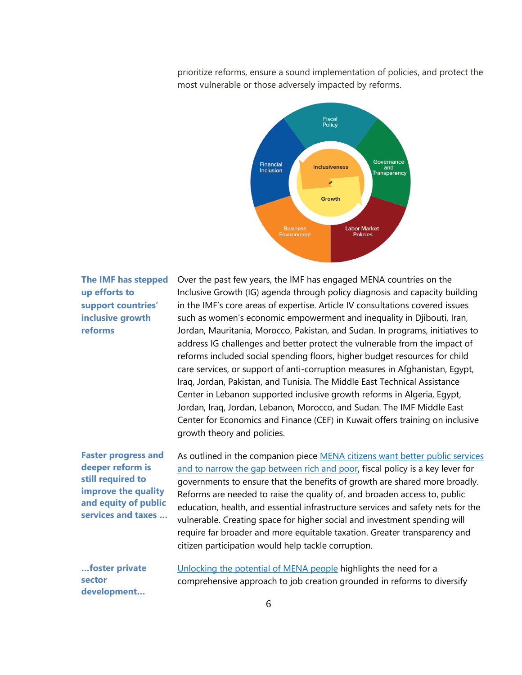prioritize reforms, ensure a sound implementation of policies, and protect the most vulnerable or those adversely impacted by reforms.



### **The IMF has stepped up efforts to support countries' inclusive growth reforms**

Over the past few years, the IMF has engaged MENA countries on the Inclusive Growth (IG) agenda through policy diagnosis and capacity building in the IMF's core areas of expertise. Article IV consultations covered issues such as women's economic empowerment and inequality in Djibouti, Iran, Jordan, Mauritania, Morocco, Pakistan, and Sudan. In programs, initiatives to address IG challenges and better protect the vulnerable from the impact of reforms included social spending floors, higher budget resources for child care services, or support of anti-corruption measures in Afghanistan, Egypt, Iraq, Jordan, Pakistan, and Tunisia. The Middle East Technical Assistance Center in Lebanon supported inclusive growth reforms in Algeria, Egypt, Jordan, Iraq, Jordan, Lebanon, Morocco, and Sudan. The IMF Middle East Center for Economics and Finance (CEF) in Kuwait offers training on inclusive growth theory and policies.

**Faster progress and deeper reform is still required to improve the quality and equity of public services and taxes …**

As outlined in the companion piece MENA citizens want better public services [and to narrow the gap between rich and poor,](http://0-www-imf-org.library.svsu.edu/en/News/Seminars/Conferences/2017/08/08/~/media/8E25856F18F1433493CA448DE9BDD924.ashx) fiscal policy is a key lever for governments to ensure that the benefits of growth are shared more broadly. Reforms are needed to raise the quality of, and broaden access to, public education, health, and essential infrastructure services and safety nets for the vulnerable. Creating space for higher social and investment spending will require far broader and more equitable taxation. Greater transparency and citizen participation would help tackle corruption.

**…foster private sector development…**

[Unlocking the potential](http://0-www-imf-org.library.svsu.edu/en/News/Seminars/Conferences/2017/08/08/~/media/864EFDD5013248319E7CC6781130D4ED.ashx) of MENA people highlights the need for a comprehensive approach to job creation grounded in reforms to diversify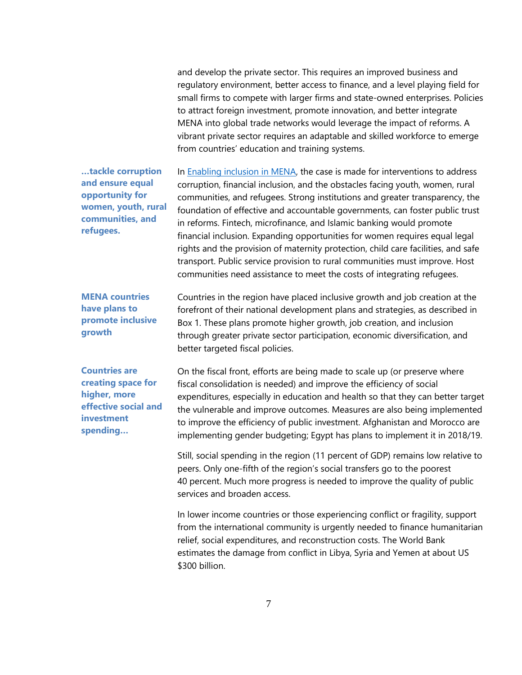and develop the private sector. This requires an improved business and regulatory environment, better access to finance, and a level playing field for small firms to compete with larger firms and state-owned enterprises. Policies to attract foreign investment, promote innovation, and better integrate MENA into global trade networks would leverage the impact of reforms. A vibrant private sector requires an adaptable and skilled workforce to emerge from countries' education and training systems.

**…tackle corruption and ensure equal opportunity for women, youth, rural communities, and refugees.**

In [Enabling inclusion in MENA,](http://0-www-imf-org.library.svsu.edu/en/News/Seminars/Conferences/2017/08/08/~/media/BFF450BE69754E329E1441B365C47060.ashx) the case is made for interventions to address corruption, financial inclusion, and the obstacles facing youth, women, rural communities, and refugees. Strong institutions and greater transparency, the foundation of effective and accountable governments, can foster public trust in reforms. Fintech, microfinance, and Islamic banking would promote financial inclusion. Expanding opportunities for women requires equal legal rights and the provision of maternity protection, child care facilities, and safe transport. Public service provision to rural communities must improve. Host communities need assistance to meet the costs of integrating refugees.

**MENA countries have plans to promote inclusive growth**

**Countries are creating space for higher, more effective social and investment spending…**

Countries in the region have placed inclusive growth and job creation at the forefront of their national development plans and strategies, as described in Box 1. These plans promote higher growth, job creation, and inclusion through greater private sector participation, economic diversification, and better targeted fiscal policies.

On the fiscal front, efforts are being made to scale up (or preserve where fiscal consolidation is needed) and improve the efficiency of social expenditures, especially in education and health so that they can better target the vulnerable and improve outcomes. Measures are also being implemented to improve the efficiency of public investment. Afghanistan and Morocco are implementing gender budgeting; Egypt has plans to implement it in 2018/19.

Still, social spending in the region (11 percent of GDP) remains low relative to peers. Only one-fifth of the region's social transfers go to the poorest 40 percent. Much more progress is needed to improve the quality of public services and broaden access.

In lower income countries or those experiencing conflict or fragility, support from the international community is urgently needed to finance humanitarian relief, social expenditures, and reconstruction costs. The World Bank estimates the damage from conflict in Libya, Syria and Yemen at about US \$300 billion.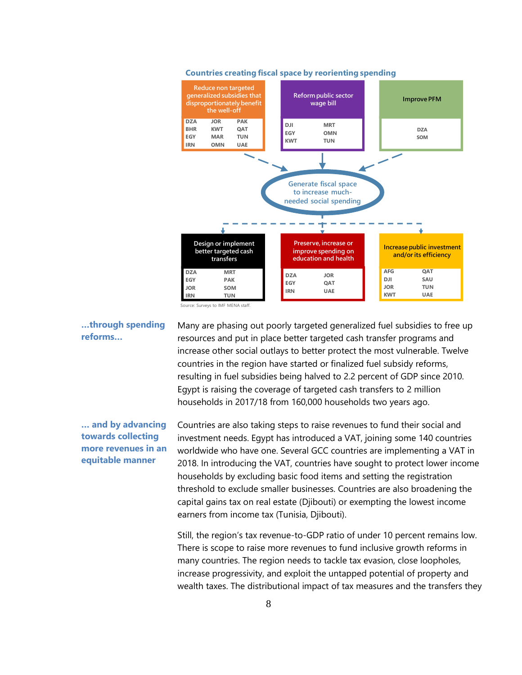

#### **Countries creating fiscal space by reorienting spending**

**…through spending reforms…**

Many are phasing out poorly targeted generalized fuel subsidies to free up resources and put in place better targeted cash transfer programs and increase other social outlays to better protect the most vulnerable. Twelve countries in the region have started or finalized fuel subsidy reforms, resulting in fuel subsidies being halved to 2.2 percent of GDP since 2010. Egypt is raising the coverage of targeted cash transfers to 2 million households in 2017/18 from 160,000 households two years ago.

**… and by advancing towards collecting more revenues in an equitable manner**

Countries are also taking steps to raise revenues to fund their social and investment needs. Egypt has introduced a VAT, joining some 140 countries worldwide who have one. Several GCC countries are implementing a VAT in 2018. In introducing the VAT, countries have sought to protect lower income households by excluding basic food items and setting the registration threshold to exclude smaller businesses. Countries are also broadening the capital gains tax on real estate (Djibouti) or exempting the lowest income earners from income tax (Tunisia, Djibouti).

Still, the region's tax revenue-to-GDP ratio of under 10 percent remains low. There is scope to raise more revenues to fund inclusive growth reforms in many countries. The region needs to tackle tax evasion, close loopholes, increase progressivity, and exploit the untapped potential of property and wealth taxes. The distributional impact of tax measures and the transfers they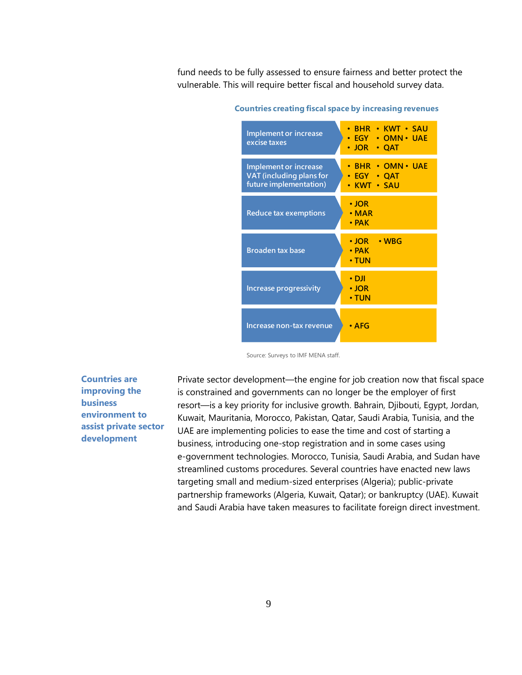fund needs to be fully assessed to ensure fairness and better protect the vulnerable. This will require better fiscal and household survey data.

| <b>Implement or increase</b><br>excise taxes                                | • BHR • KWT • SAU<br>• EGY • OMN• UAE<br>$\cdot$ JOR $\cdot$ QAT                     |
|-----------------------------------------------------------------------------|--------------------------------------------------------------------------------------|
| Implement or increase<br>VAT (including plans for<br>future implementation) | <b>BHR • OMN • UAE</b><br>$\bullet$ EGY $\bullet$<br>$\cdot$ OAT<br><b>KWT · SAU</b> |
| Reduce tax exemptions                                                       | $\cdot$ JOR<br>$\cdot$ MAR<br>$\cdot$ PAK                                            |
| <b>Broaden tax base</b>                                                     | $\cdot$ JOR $\rightarrow$ WBG<br>$\cdot$ PAK<br>$\cdot$ TUN                          |
| <b>Increase progressivity</b>                                               | • DJI<br>• JOR<br>• TUN                                                              |
| Increase non-tax revenue                                                    | • AFG                                                                                |

**Countries creating fiscal space by increasing revenues**

Source: Surveys to IMF MENA staff.

**Countries are improving the business environment to assist private sector development**

Private sector development—the engine for job creation now that fiscal space is constrained and governments can no longer be the employer of first resort—is a key priority for inclusive growth. Bahrain, Djibouti, Egypt, Jordan, Kuwait, Mauritania, Morocco, Pakistan, Qatar, Saudi Arabia, Tunisia, and the UAE are implementing policies to ease the time and cost of starting a business, introducing one-stop registration and in some cases using e-government technologies. Morocco, Tunisia, Saudi Arabia, and Sudan have streamlined customs procedures. Several countries have enacted new laws targeting small and medium-sized enterprises (Algeria); public-private partnership frameworks (Algeria, Kuwait, Qatar); or bankruptcy (UAE). Kuwait and Saudi Arabia have taken measures to facilitate foreign direct investment.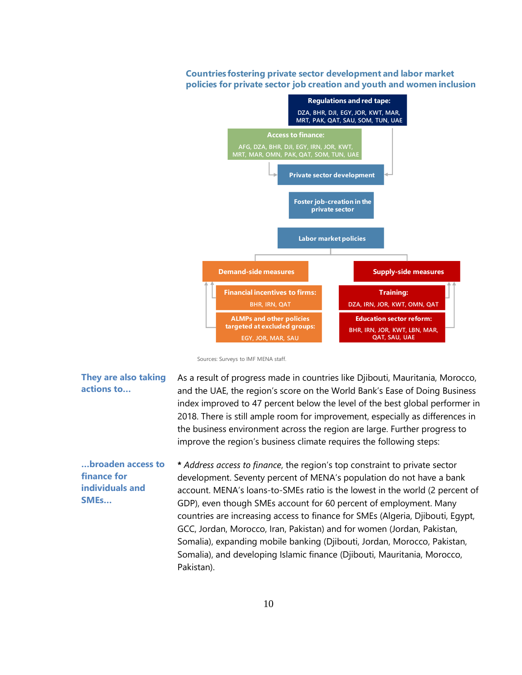### **Countries fostering private sector development and labor market policies for private sector job creation and youth and women inclusion**



Sources: Surveys to IMF MENA staff.

**They are also taking actions to…** As a result of progress made in countries like Djibouti, Mauritania, Morocco, and the UAE, the region's score on the World Bank's Ease of Doing Business index improved to 47 percent below the level of the best global performer in 2018. There is still ample room for improvement, especially as differences in the business environment across the region are large. Further progress to improve the region's business climate requires the following steps: **…broaden access to finance for individuals and SMEs… \*** *Address access to finance*, the region's top constraint to private sector development. Seventy percent of MENA's population do not have a bank account. MENA's loans-to-SMEs ratio is the lowest in the world (2 percent of GDP), even though SMEs account for 60 percent of employment. Many countries are increasing access to finance for SMEs (Algeria, Djibouti, Egypt, GCC, Jordan, Morocco, Iran, Pakistan) and for women (Jordan, Pakistan, Somalia), expanding mobile banking (Djibouti, Jordan, Morocco, Pakistan, Somalia), and developing Islamic finance (Djibouti, Mauritania, Morocco,

Pakistan).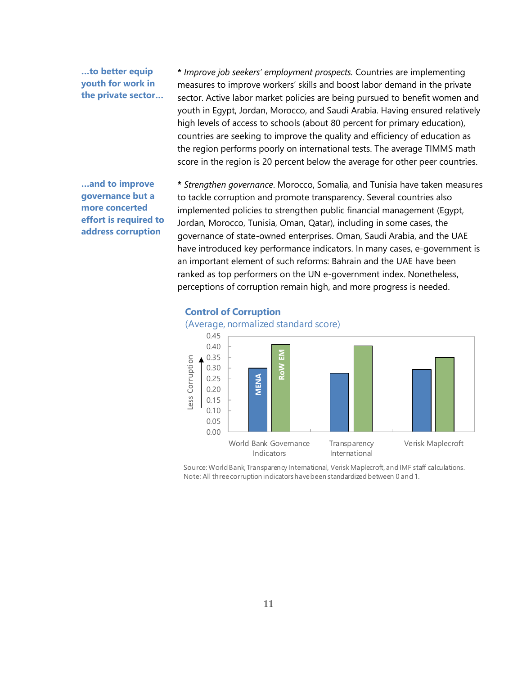### **…to better equip youth for work in the private sector…**

**\*** *Improve job seekers' employment prospects.* Countries are implementing measures to improve workers' skills and boost labor demand in the private sector. Active labor market policies are being pursued to benefit women and youth in Egypt, Jordan, Morocco, and Saudi Arabia. Having ensured relatively high levels of access to schools (about 80 percent for primary education), countries are seeking to improve the quality and efficiency of education as the region performs poorly on international tests. The average TIMMS math score in the region is 20 percent below the average for other peer countries.

### **…and to improve governance but a more concerted effort is required to address corruption**

**\*** *Strengthen governance*. Morocco, Somalia, and Tunisia have taken measures to tackle corruption and promote transparency. Several countries also implemented policies to strengthen public financial management (Egypt, Jordan, Morocco, Tunisia, Oman, Qatar), including in some cases, the governance of state-owned enterprises. Oman, Saudi Arabia, and the UAE have introduced key performance indicators. In many cases, e-government is an important element of such reforms: Bahrain and the UAE have been ranked as top performers on the UN e-government index. Nonetheless, perceptions of corruption remain high, and more progress is needed.



# **Control of Corruption**

Source: World Bank, Transparency International, Verisk Maplecroft, and IMF staff calculations. Note: All three corruption indicators have been standardized between 0 and 1.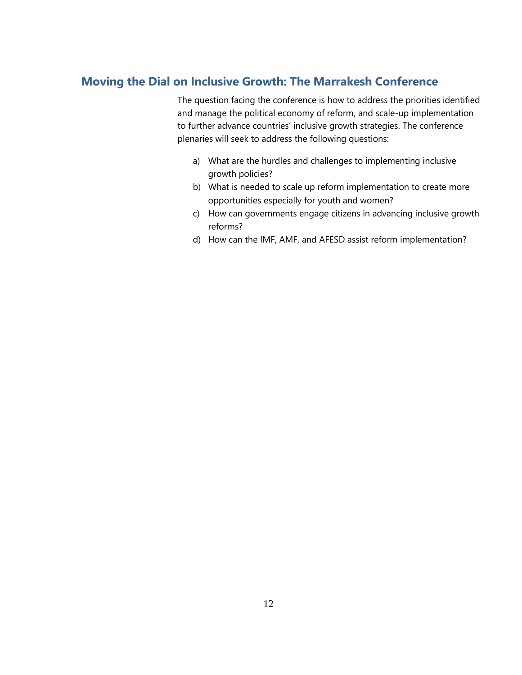# **Moving the Dial on Inclusive Growth: The Marrakesh Conference**

The question facing the conference is how to address the priorities identified and manage the political economy of reform, and scale-up implementation to further advance countries' inclusive growth strategies. The conference plenaries will seek to address the following questions:

- a) What are the hurdles and challenges to implementing inclusive growth policies?
- b) What is needed to scale up reform implementation to create more opportunities especially for youth and women?
- c) How can governments engage citizens in advancing inclusive growth reforms?
- d) How can the IMF, AMF, and AFESD assist reform implementation?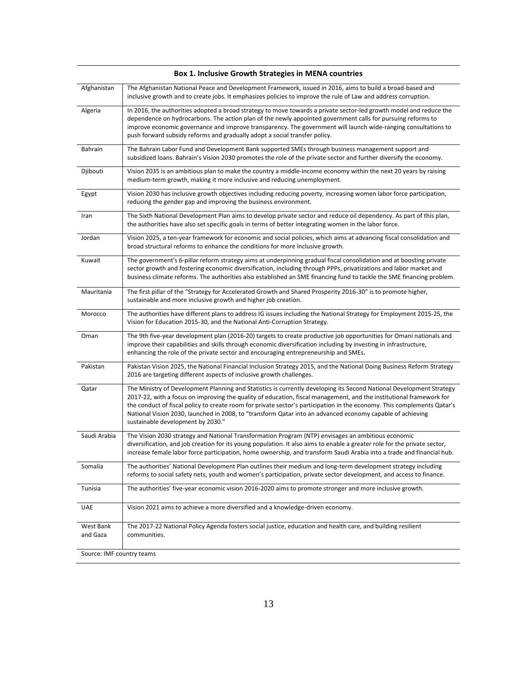| Afghanistan           | The Afghanistan National Peace and Development Framework, issued in 2016, aims to build a broad-based and<br>inclusive growth and to create jobs. It emphasizes policies to improve the rule of Law and address corruption.                                                                                                                                                                                                                                                                                              |
|-----------------------|--------------------------------------------------------------------------------------------------------------------------------------------------------------------------------------------------------------------------------------------------------------------------------------------------------------------------------------------------------------------------------------------------------------------------------------------------------------------------------------------------------------------------|
| Algeria               | In 2016, the authorities adopted a broad strategy to move towards a private sector-led growth model and reduce the<br>dependence on hydrocarbons. The action plan of the newly appointed government calls for pursuing reforms to<br>improve economic governance and improve transparency. The government will launch wide-ranging consultations to<br>push forward subsidy reforms and gradually adopt a social transfer policy.                                                                                        |
| Bahrain               | The Bahrain Labor Fund and Development Bank supported SMEs through business management support and<br>subsidized loans. Bahrain's Vision 2030 promotes the role of the private sector and further diversify the economy.                                                                                                                                                                                                                                                                                                 |
| Djibouti              | Vision 2035 is an ambitious plan to make the country a middle-income economy within the next 20 years by raising<br>medium-term growth, making it more inclusive and reducing unemployment.                                                                                                                                                                                                                                                                                                                              |
| Egypt                 | Vision 2030 has inclusive growth objectives including reducing poverty, increasing women labor force participation,<br>reducing the gender gap and improving the business environment.                                                                                                                                                                                                                                                                                                                                   |
| Iran                  | The Sixth National Development Plan aims to develop private sector and reduce oil dependency. As part of this plan,<br>the authorities have also set specific goals in terms of better integrating women in the labor force.                                                                                                                                                                                                                                                                                             |
| Jordan                | Vision 2025, a ten-year framework for economic and social policies, which aims at advancing fiscal consolidation and<br>broad structural reforms to enhance the conditions for more inclusive growth.                                                                                                                                                                                                                                                                                                                    |
| Kuwait                | The government's 6-pillar reform strategy aims at underpinning gradual fiscal consolidation and at boosting private<br>sector growth and fostering economic diversification, including through PPPs, privatizations and labor market and<br>business climate reforms. The authorities also established an SME financing fund to tackle the SME financing problem.                                                                                                                                                        |
| Mauritania            | The first pillar of the "Strategy for Accelerated Growth and Shared Prosperity 2016-30" is to promote higher,<br>sustainable and more inclusive growth and higher job creation.                                                                                                                                                                                                                                                                                                                                          |
| Morocco               | The authorities have different plans to address IG issues including the National Strategy for Employment 2015-25, the<br>Vision for Education 2015-30, and the National Anti-Corruption Strategy.                                                                                                                                                                                                                                                                                                                        |
| Oman                  | The 9th five-year development plan (2016-20) targets to create productive job opportunities for Omani nationals and<br>improve their capabilities and skills through economic diversification including by investing in infrastructure,<br>enhancing the role of the private sector and encouraging entrepreneurship and SMEs.                                                                                                                                                                                           |
| Pakistan              | Pakistan Vision 2025, the National Financial Inclusion Strategy 2015, and the National Doing Business Reform Strategy<br>2016 are targeting different aspects of inclusive growth challenges.                                                                                                                                                                                                                                                                                                                            |
| Qatar                 | The Ministry of Development Planning and Statistics is currently developing its Second National Development Strategy<br>2017-22, with a focus on improving the quality of education, fiscal management, and the institutional framework for<br>the conduct of fiscal policy to create room for private sector's participation in the economy. This complements Qatar's<br>National Vision 2030, launched in 2008, to "transform Qatar into an advanced economy capable of achieving<br>sustainable development by 2030." |
| Saudi Arabia          | The Vision 2030 strategy and National Transformation Program (NTP) envisages an ambitious economic<br>diversification, and job creation for its young population. It also aims to enable a greater role for the private sector,<br>increase female labor force participation, home ownership, and transform Saudi Arabia into a trade and financial hub.                                                                                                                                                                 |
| Somalia               | The authorities' National Development Plan outlines their medium and long-term development strategy including<br>reforms to social safety nets, youth and women's participation, private sector development, and access to finance.                                                                                                                                                                                                                                                                                      |
| Tunisia               | The authorities' five-year economic vision 2016-2020 aims to promote stronger and more inclusive growth.                                                                                                                                                                                                                                                                                                                                                                                                                 |
| <b>UAE</b>            | Vision 2021 aims to achieve a more diversified and a knowledge-driven economy.                                                                                                                                                                                                                                                                                                                                                                                                                                           |
| West Bank<br>and Gaza | The 2017-22 National Policy Agenda fosters social justice, education and health care, and building resilient<br>communities.                                                                                                                                                                                                                                                                                                                                                                                             |
|                       |                                                                                                                                                                                                                                                                                                                                                                                                                                                                                                                          |

### **Box 1. Inclusive Growth Strategies in MENA countries**

Source: IMF country teams